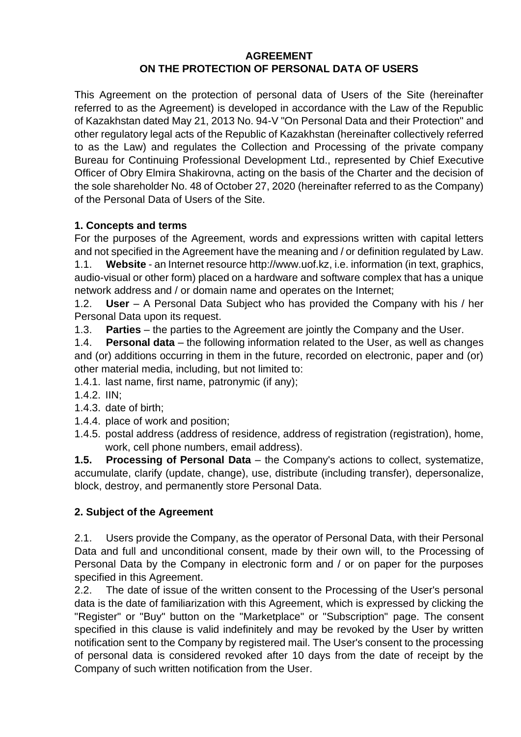## **AGREEMENT ON THE PROTECTION OF PERSONAL DATA OF USERS**

This Agreement on the protection of personal data of Users of the Site (hereinafter referred to as the Agreement) is developed in accordance with the Law of the Republic of Kazakhstan dated May 21, 2013 No. 94-V "On Personal Data and their Protection" and other regulatory legal acts of the Republic of Kazakhstan (hereinafter collectively referred to as the Law) and regulates the Collection and Processing of the private company Bureau for Continuing Professional Development Ltd., represented by Chief Executive Officer of Obry Elmira Shakirovna, acting on the basis of the Charter and the decision of the sole shareholder No. 48 of October 27, 2020 (hereinafter referred to as the Company) of the Personal Data of Users of the Site.

## **1. Concepts and terms**

For the purposes of the Agreement, words and expressions written with capital letters and not specified in the Agreement have the meaning and / or definition regulated by Law.

1.1. **Website** - an Internet resource [http://www.uof.kz,](http://www.uof.kz/) i.e. information (in text, graphics, audio-visual or other form) placed on a hardware and software complex that has a unique network address and / or domain name and operates on the Internet;

1.2. **User** – A Personal Data Subject who has provided the Company with his / her Personal Data upon its request.

1.3. **Parties** – the parties to the Agreement are jointly the Company and the User.

1.4. **Personal data** – the following information related to the User, as well as changes and (or) additions occurring in them in the future, recorded on electronic, paper and (or) other material media, including, but not limited to:

1.4.1. last name, first name, patronymic (if any);

- 1.4.2. IIN;
- 1.4.3. date of birth;
- 1.4.4. place of work and position;
- 1.4.5. postal address (address of residence, address of registration (registration), home, work, cell phone numbers, email address).

**1.5. Processing of Personal Data** – the Company's actions to collect, systematize, accumulate, clarify (update, change), use, distribute (including transfer), depersonalize, block, destroy, and permanently store Personal Data.

## **2. Subject of the Agreement**

2.1. Users provide the Company, as the operator of Personal Data, with their Personal Data and full and unconditional consent, made by their own will, to the Processing of Personal Data by the Company in electronic form and / or on paper for the purposes specified in this Agreement.

2.2. The date of issue of the written consent to the Processing of the User's personal data is the date of familiarization with this Agreement, which is expressed by clicking the "Register" or "Buy" button on the "Marketplace" or "Subscription" page. The consent specified in this clause is valid indefinitely and may be revoked by the User by written notification sent to the Company by registered mail. The User's consent to the processing of personal data is considered revoked after 10 days from the date of receipt by the Company of such written notification from the User.